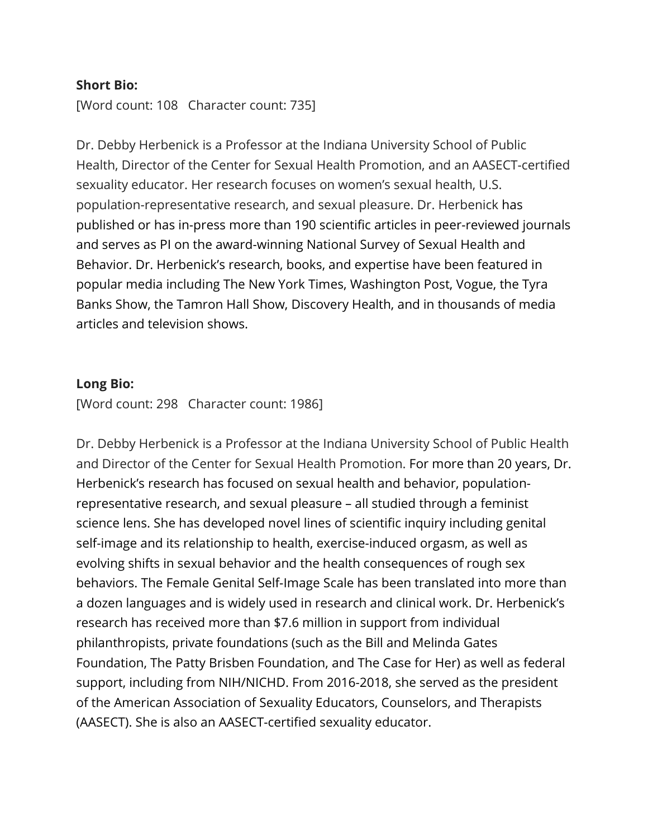## **Short Bio:**

[Word count: 108 Character count: 735]

Dr. Debby Herbenick is a Professor at the Indiana University School of Public Health, Director of the Center for Sexual Health Promotion, and an AASECT-certified sexuality educator. Her research focuses on women's sexual health, U.S. population-representative research, and sexual pleasure. Dr. Herbenick has published or has in-press more than 190 scientific articles in peer-reviewed journals and serves as PI on the award-winning National Survey of Sexual Health and Behavior. Dr. Herbenick's research, books, and expertise have been featured in popular media including The New York Times, Washington Post, Vogue, the Tyra Banks Show, the Tamron Hall Show, Discovery Health, and in thousands of media articles and television shows.

## **Long Bio:**

[Word count: 298 Character count: 1986]

Dr. Debby Herbenick is a Professor at the Indiana University School of Public Health and Director of the Center for Sexual Health Promotion. For more than 20 years, Dr. Herbenick's research has focused on sexual health and behavior, populationrepresentative research, and sexual pleasure – all studied through a feminist science lens. She has developed novel lines of scientific inquiry including genital self-image and its relationship to health, exercise-induced orgasm, as well as evolving shifts in sexual behavior and the health consequences of rough sex behaviors. The Female Genital Self-Image Scale has been translated into more than a dozen languages and is widely used in research and clinical work. Dr. Herbenick's research has received more than \$7.6 million in support from individual philanthropists, private foundations (such as the Bill and Melinda Gates Foundation, The Patty Brisben Foundation, and The Case for Her) as well as federal support, including from NIH/NICHD. From 2016-2018, she served as the president of the American Association of Sexuality Educators, Counselors, and Therapists (AASECT). She is also an AASECT-certified sexuality educator.